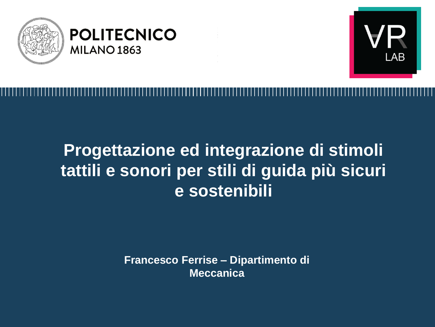



# **Progettazione ed integrazione di stimoli tattili e sonori per stili di guida più sicuri e sostenibili**

**Francesco Ferrise – Dipartimento di Meccanica**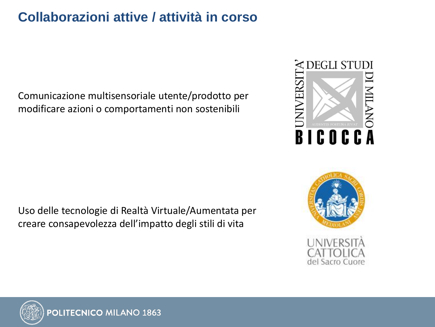#### **Collaborazioni attive / attività in corso**

Comunicazione multisensoriale utente/prodotto per modificare azioni o comportamenti non sostenibili

Uso delle tecnologie di Realtà Virtuale/Aumentata per creare consapevolezza dell'impatto degli stili di vita







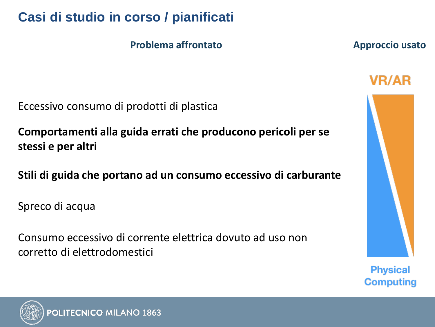# **Casi di studio in corso / pianificati**

Eccessivo consumo di prodotti di plastica

**Problema affrontato Approccio usato** 

**VR/AR** 

**Physical Computing** 



**Comportamenti alla guida errati che producono pericoli per se stessi e per altri**

**Stili di guida che portano ad un consumo eccessivo di carburante**

Spreco di acqua

Consumo eccessivo di corrente elettrica dovuto ad uso non corretto di elettrodomestici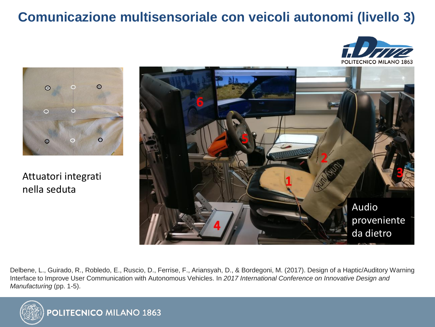## **Comunicazione multisensoriale con veicoli autonomi (livello 3)**





Attuatori integrati nella seduta



 $\alpha$  and  $\alpha$  and  $\alpha$  allows the participant to familiarize with the participant to familiarize with  $\alpha$  $\tau$  from and provide information on eventual take-driving car and provide information on eventual take-

.<br>Delbene, L., Guirado, R., Robledo, E., Ruscio, D., Ferrise, F., Ariansyah, D., & Bordegoni, M. (2017). Design of a Haptic/Auditory Warning Interface to Improve User Communication with Autonomous Vehicles. In 2017 International Conference on Innovative Design and Participant would be introduced to the i.Drive simulator. An *Manufacturing* (pp. 1-5).  $\sim$  considered:  $\sim$ 

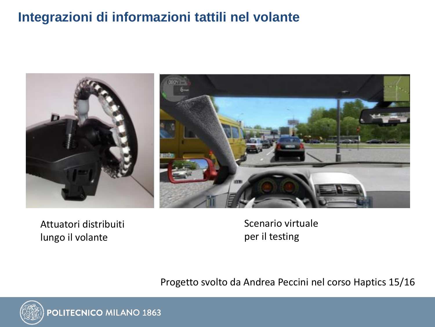### **Integrazioni di informazioni tattili nel volante**



Attuatori distribuiti lungo il volante

Scenario virtuale per il testing

Progetto svolto da Andrea Peccini nel corso Haptics 15/16

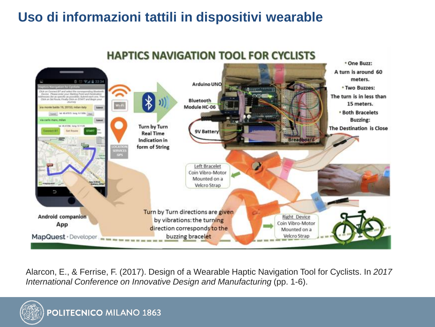# **Uso di informazioni tattili in dispositivi wearable**



**HAPTICS NAVIGATION TOOL FOR CYCLISTS** 

Alarcon, E., & Ferrise, F. (2017). Design of a Wearable Haptic Navigation Tool for Cyclists. In *2017 International Conference on Innovative Design and Manufacturing* (pp. 1-6).

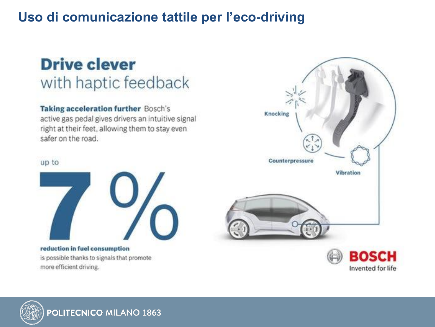#### **Uso di comunicazione tattile per l'eco-driving**

# **Drive clever** with haptic feedback

Taking acceleration further Bosch's active gas pedal gives drivers an intuitive signal right at their feet, allowing them to stay even safer on the road.

#### up to



reduction in fuel consumption is possible thanks to signals that promote more efficient driving.



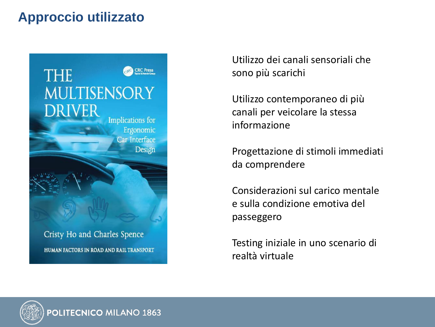### **Approccio utilizzato**



HUMAN FACTORS IN ROAD AND RAIL TRANSPORT

Utilizzo dei canali sensoriali che sono più scarichi

Utilizzo contemporaneo di più canali per veicolare la stessa informazione

Progettazione di stimoli immediati da comprendere

Considerazioni sul carico mentale e sulla condizione emotiva del passeggero

Testing iniziale in uno scenario di realtà virtuale